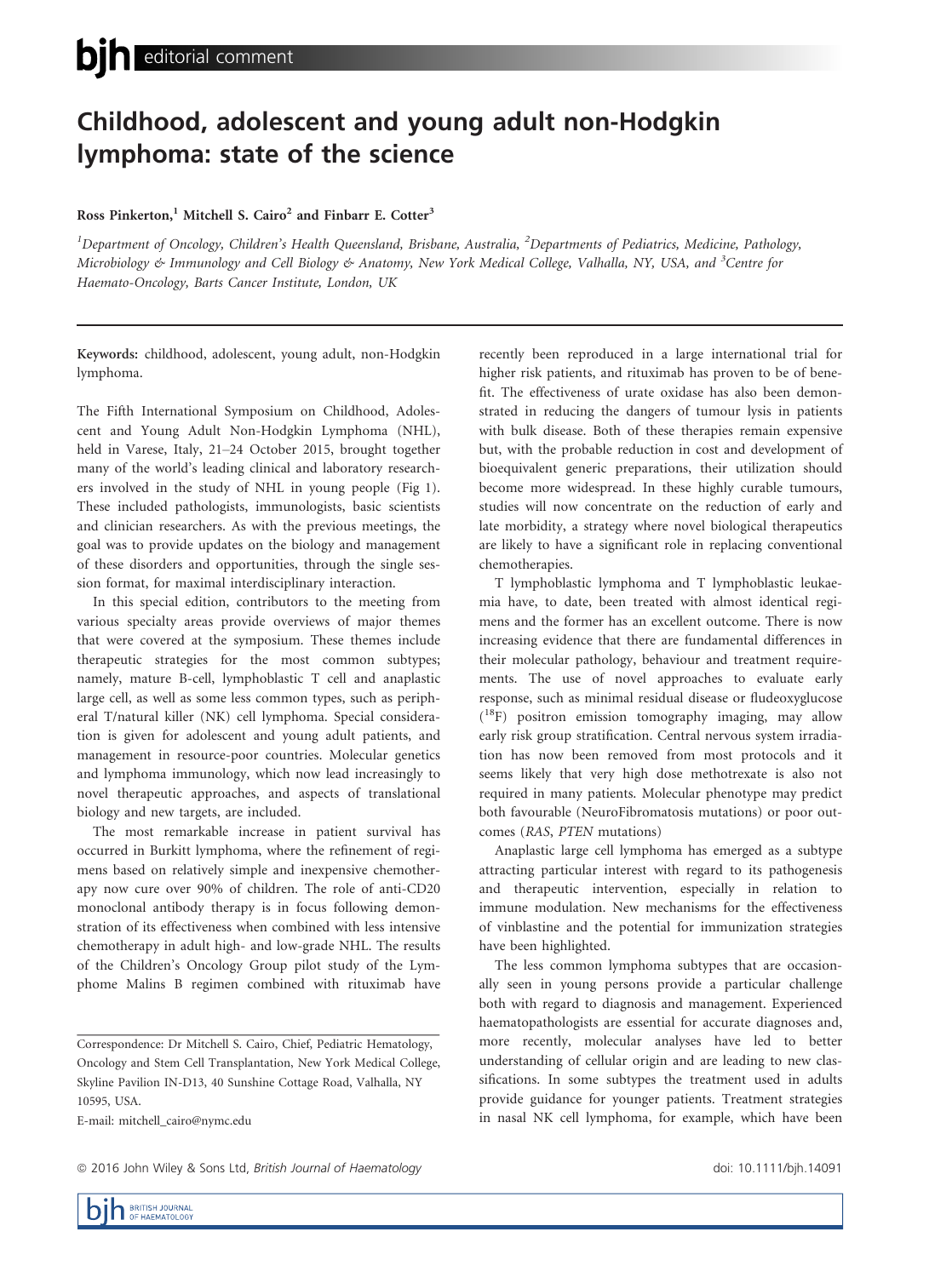## Childhood, adolescent and young adult non-Hodgkin lymphoma: state of the science

## Ross Pinkerton,<sup>1</sup> Mitchell S. Cairo<sup>2</sup> and Finbarr E. Cotter<sup>3</sup>

<sup>1</sup>Department of Oncology, Children's Health Queensland, Brisbane, Australia, <sup>2</sup>Departments of Pediatrics, Medicine, Pathology, Microbiology & Immunology and Cell Biology & Anatomy, New York Medical College, Valhalla, NY, USA, and <sup>3</sup>Centre for Haemato-Oncology, Barts Cancer Institute, London, UK

Keywords: childhood, adolescent, young adult, non-Hodgkin lymphoma.

The Fifth International Symposium on Childhood, Adolescent and Young Adult Non-Hodgkin Lymphoma (NHL), held in Varese, Italy, 21–24 October 2015, brought together many of the world's leading clinical and laboratory researchers involved in the study of NHL in young people (Fig 1). These included pathologists, immunologists, basic scientists and clinician researchers. As with the previous meetings, the goal was to provide updates on the biology and management of these disorders and opportunities, through the single session format, for maximal interdisciplinary interaction.

In this special edition, contributors to the meeting from various specialty areas provide overviews of major themes that were covered at the symposium. These themes include therapeutic strategies for the most common subtypes; namely, mature B-cell, lymphoblastic T cell and anaplastic large cell, as well as some less common types, such as peripheral T/natural killer (NK) cell lymphoma. Special consideration is given for adolescent and young adult patients, and management in resource-poor countries. Molecular genetics and lymphoma immunology, which now lead increasingly to novel therapeutic approaches, and aspects of translational biology and new targets, are included.

The most remarkable increase in patient survival has occurred in Burkitt lymphoma, where the refinement of regimens based on relatively simple and inexpensive chemotherapy now cure over 90% of children. The role of anti-CD20 monoclonal antibody therapy is in focus following demonstration of its effectiveness when combined with less intensive chemotherapy in adult high- and low-grade NHL. The results of the Children's Oncology Group pilot study of the Lymphome Malins B regimen combined with rituximab have

E-mail: mitchell\_cairo@nymc.edu

recently been reproduced in a large international trial for higher risk patients, and rituximab has proven to be of benefit. The effectiveness of urate oxidase has also been demonstrated in reducing the dangers of tumour lysis in patients with bulk disease. Both of these therapies remain expensive but, with the probable reduction in cost and development of bioequivalent generic preparations, their utilization should become more widespread. In these highly curable tumours, studies will now concentrate on the reduction of early and late morbidity, a strategy where novel biological therapeutics are likely to have a significant role in replacing conventional chemotherapies.

T lymphoblastic lymphoma and T lymphoblastic leukaemia have, to date, been treated with almost identical regimens and the former has an excellent outcome. There is now increasing evidence that there are fundamental differences in their molecular pathology, behaviour and treatment requirements. The use of novel approaches to evaluate early response, such as minimal residual disease or fludeoxyglucose ( 18F) positron emission tomography imaging, may allow early risk group stratification. Central nervous system irradiation has now been removed from most protocols and it seems likely that very high dose methotrexate is also not required in many patients. Molecular phenotype may predict both favourable (NeuroFibromatosis mutations) or poor outcomes (RAS, PTEN mutations)

Anaplastic large cell lymphoma has emerged as a subtype attracting particular interest with regard to its pathogenesis and therapeutic intervention, especially in relation to immune modulation. New mechanisms for the effectiveness of vinblastine and the potential for immunization strategies have been highlighted.

The less common lymphoma subtypes that are occasionally seen in young persons provide a particular challenge both with regard to diagnosis and management. Experienced haematopathologists are essential for accurate diagnoses and, more recently, molecular analyses have led to better understanding of cellular origin and are leading to new classifications. In some subtypes the treatment used in adults provide guidance for younger patients. Treatment strategies in nasal NK cell lymphoma, for example, which have been

Correspondence: Dr Mitchell S. Cairo, Chief, Pediatric Hematology, Oncology and Stem Cell Transplantation, New York Medical College, Skyline Pavilion IN-D13, 40 Sunshine Cottage Road, Valhalla, NY 10595, USA.

<sup>© 2016</sup> John Wiley & Sons Ltd, British Journal of Haematology doi: 10.1111/bjh.14091